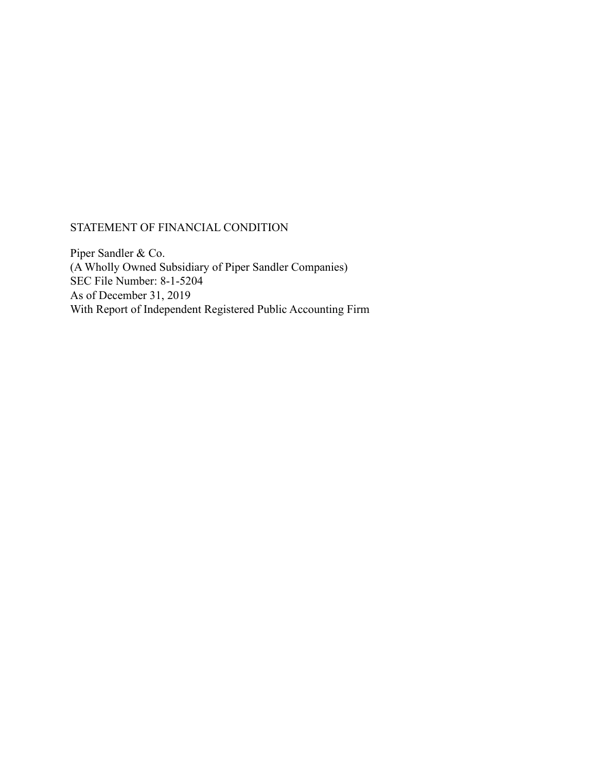# STATEMENT OF FINANCIAL CONDITION

Piper Sandler & Co. (A Wholly Owned Subsidiary of Piper Sandler Companies) SEC File Number: 8-1-5204 As of December 31, 2019 With Report of Independent Registered Public Accounting Firm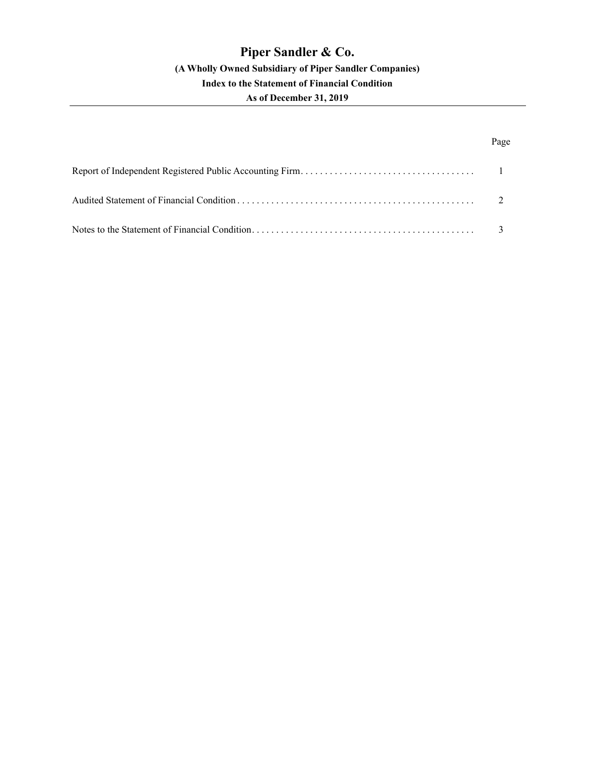# Page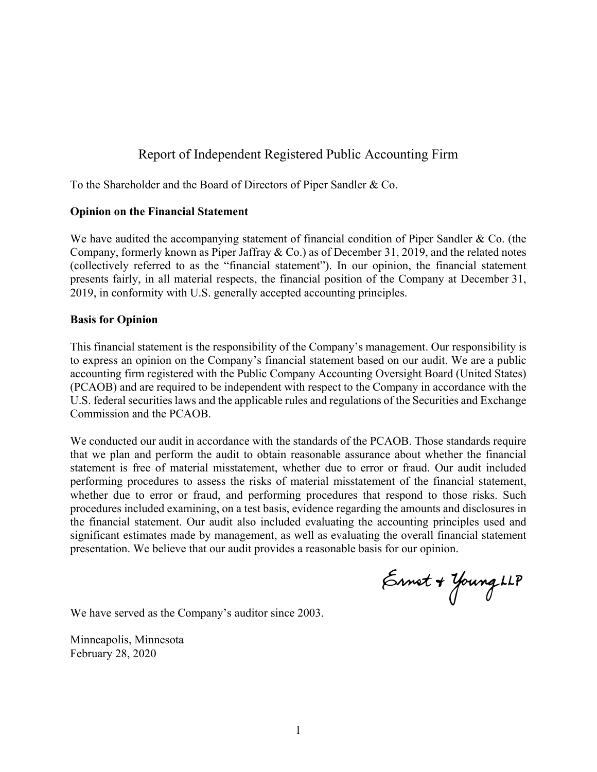# Report of Independent Registered Public Accounting Firm

To the Shareholder and the Board of Directors of Piper Sandler & Co.

# **Opinion on the Financial Statement**

We have audited the accompanying statement of financial condition of Piper Sandler & Co. (the Company, formerly known as Piper Jaffray & Co.) as of December 31, 2019, and the related notes (collectively referred to as the "financial statement"). In our opinion, the financial statement presents fairly, in all material respects, the financial position of the Company at December 31, 2019, in conformity with U.S. generally accepted accounting principles.

# **Basis for Opinion**

This financial statement is the responsibility of the Company's management. Our responsibility is to express an opinion on the Company's financial statement based on our audit. We are a public accounting firm registered with the Public Company Accounting Oversight Board (United States) (PCAOB) and are required to be independent with respect to the Company in accordance with the U.S. federal securities laws and the applicable rules and regulations of the Securities and Exchange Commission and the PCAOB.

We conducted our audit in accordance with the standards of the PCAOB. Those standards require that we plan and perform the audit to obtain reasonable assurance about whether the financial statement is free of material misstatement, whether due to error or fraud. Our audit included performing procedures to assess the risks of material misstatement of the financial statement, whether due to error or fraud, and performing procedures that respond to those risks. Such procedures included examining, on a test basis, evidence regarding the amounts and disclosures in the financial statement. Our audit also included evaluating the accounting principles used and significant estimates made by management, as well as evaluating the overall financial statement presentation. We believe that our audit provides a reasonable basis for our opinion.

Ennet + Young LLP

We have served as the Company's auditor since 2003.

Minneapolis, Minnesota February 28, 2020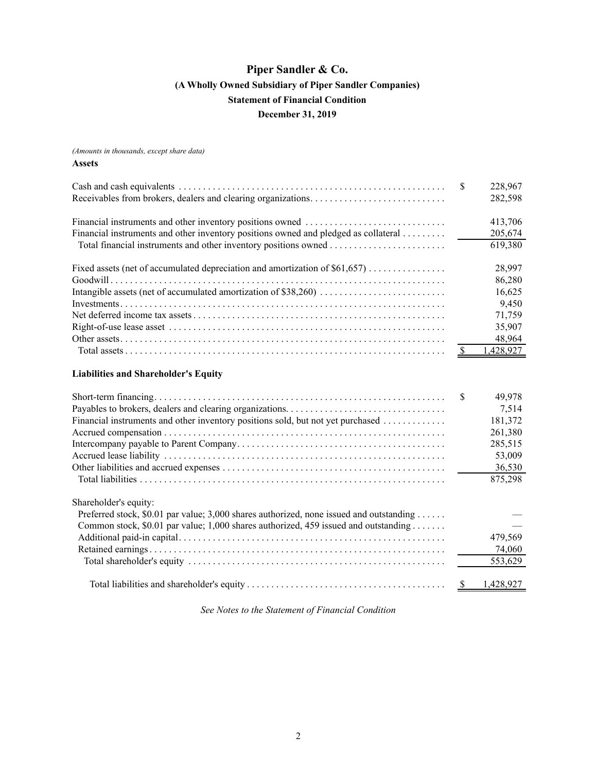<span id="page-3-0"></span>*(Amounts in thousands, except share data)*

#### **Assets**

|                                                                                         | \$                      | 228,967                |
|-----------------------------------------------------------------------------------------|-------------------------|------------------------|
|                                                                                         |                         | 282,598                |
|                                                                                         |                         | 413,706                |
| Financial instruments and other inventory positions owned and pledged as collateral     |                         | 205,674                |
|                                                                                         |                         | 619,380                |
| Fixed assets (net of accumulated depreciation and amortization of \$61,657)             |                         | 28,997                 |
|                                                                                         |                         | 86,280                 |
|                                                                                         |                         | 16,625                 |
|                                                                                         |                         | 9,450                  |
|                                                                                         |                         | 71,759                 |
|                                                                                         |                         | 35,907                 |
|                                                                                         |                         | 48,964                 |
|                                                                                         | $\overline{\mathbf{r}}$ | 1,428,927              |
| <b>Liabilities and Shareholder's Equity</b>                                             |                         |                        |
|                                                                                         | \$                      | 49,978                 |
|                                                                                         |                         | 7,514                  |
| Financial instruments and other inventory positions sold, but not yet purchased         |                         | 181,372                |
|                                                                                         |                         | 261,380                |
|                                                                                         |                         | 285,515                |
|                                                                                         |                         | 53,009                 |
|                                                                                         |                         | 36,530                 |
|                                                                                         |                         | 875,298                |
| Shareholder's equity:                                                                   |                         |                        |
| Preferred stock, \$0.01 par value; 3,000 shares authorized, none issued and outstanding |                         |                        |
| Common stock, \$0.01 par value; 1,000 shares authorized, 459 issued and outstanding     |                         |                        |
|                                                                                         |                         | 479,569                |
|                                                                                         |                         | 74,060                 |
|                                                                                         |                         | 553,629                |
|                                                                                         |                         | $\frac{\$}{1,428,927}$ |

*See Notes to the Statement of Financial Condition*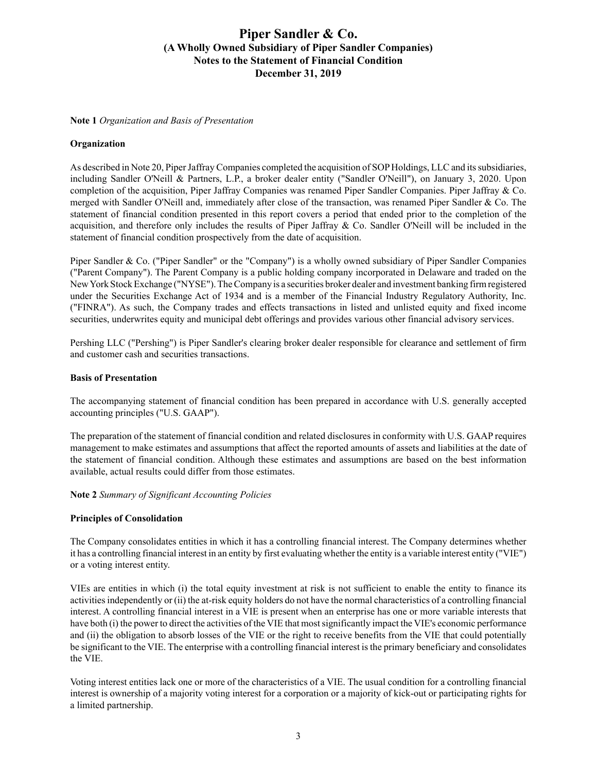#### <span id="page-4-0"></span>**Note 1** *Organization and Basis of Presentation*

### **Organization**

As described in Note 20, Piper Jaffray Companies completed the acquisition of SOP Holdings, LLC and its subsidiaries, including Sandler O'Neill & Partners, L.P., a broker dealer entity ("Sandler O'Neill"), on January 3, 2020. Upon completion of the acquisition, Piper Jaffray Companies was renamed Piper Sandler Companies. Piper Jaffray & Co. merged with Sandler O'Neill and, immediately after close of the transaction, was renamed Piper Sandler & Co. The statement of financial condition presented in this report covers a period that ended prior to the completion of the acquisition, and therefore only includes the results of Piper Jaffray & Co. Sandler O'Neill will be included in the statement of financial condition prospectively from the date of acquisition.

Piper Sandler & Co. ("Piper Sandler" or the "Company") is a wholly owned subsidiary of Piper Sandler Companies ("Parent Company"). The Parent Company is a public holding company incorporated in Delaware and traded on the New York Stock Exchange ("NYSE"). The Company is a securities broker dealer and investment banking firm registered under the Securities Exchange Act of 1934 and is a member of the Financial Industry Regulatory Authority, Inc. ("FINRA"). As such, the Company trades and effects transactions in listed and unlisted equity and fixed income securities, underwrites equity and municipal debt offerings and provides various other financial advisory services.

Pershing LLC ("Pershing") is Piper Sandler's clearing broker dealer responsible for clearance and settlement of firm and customer cash and securities transactions.

### **Basis of Presentation**

The accompanying statement of financial condition has been prepared in accordance with U.S. generally accepted accounting principles ("U.S. GAAP").

The preparation of the statement of financial condition and related disclosures in conformity with U.S. GAAPrequires management to make estimates and assumptions that affect the reported amounts of assets and liabilities at the date of the statement of financial condition. Although these estimates and assumptions are based on the best information available, actual results could differ from those estimates.

**Note 2** *Summary of Significant Accounting Policies*

#### **Principles of Consolidation**

The Company consolidates entities in which it has a controlling financial interest. The Company determines whether it has a controlling financial interest in an entity by first evaluating whether the entity is a variable interest entity ("VIE") or a voting interest entity.

VIEs are entities in which (i) the total equity investment at risk is not sufficient to enable the entity to finance its activities independently or (ii) the at-risk equity holders do not have the normal characteristics of a controlling financial interest. A controlling financial interest in a VIE is present when an enterprise has one or more variable interests that have both (i) the power to direct the activities of the VIE that most significantly impact the VIE's economic performance and (ii) the obligation to absorb losses of the VIE or the right to receive benefits from the VIE that could potentially be significant to the VIE. The enterprise with a controlling financial interest is the primary beneficiary and consolidates the VIE.

Voting interest entities lack one or more of the characteristics of a VIE. The usual condition for a controlling financial interest is ownership of a majority voting interest for a corporation or a majority of kick-out or participating rights for a limited partnership.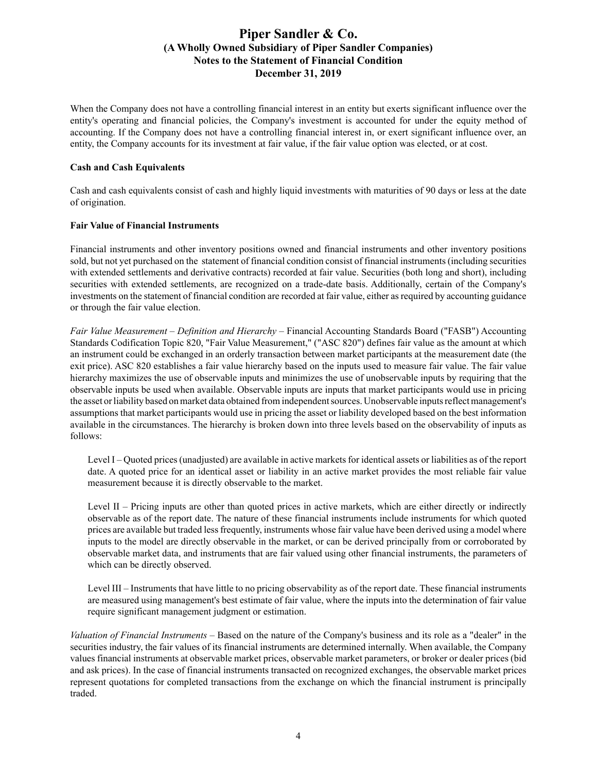When the Company does not have a controlling financial interest in an entity but exerts significant influence over the entity's operating and financial policies, the Company's investment is accounted for under the equity method of accounting. If the Company does not have a controlling financial interest in, or exert significant influence over, an entity, the Company accounts for its investment at fair value, if the fair value option was elected, or at cost.

### **Cash and Cash Equivalents**

Cash and cash equivalents consist of cash and highly liquid investments with maturities of 90 days or less at the date of origination.

### **Fair Value of Financial Instruments**

Financial instruments and other inventory positions owned and financial instruments and other inventory positions sold, but not yet purchased on the statement of financial condition consist of financial instruments (including securities with extended settlements and derivative contracts) recorded at fair value. Securities (both long and short), including securities with extended settlements, are recognized on a trade-date basis. Additionally, certain of the Company's investments on the statement of financial condition are recorded at fair value, either as required by accounting guidance or through the fair value election.

*Fair Value Measurement* – *Definition and Hierarchy* – Financial Accounting Standards Board ("FASB") Accounting Standards Codification Topic 820, "Fair Value Measurement," ("ASC 820") defines fair value as the amount at which an instrument could be exchanged in an orderly transaction between market participants at the measurement date (the exit price). ASC 820 establishes a fair value hierarchy based on the inputs used to measure fair value. The fair value hierarchy maximizes the use of observable inputs and minimizes the use of unobservable inputs by requiring that the observable inputs be used when available. Observable inputs are inputs that market participants would use in pricing the asset or liability based on market data obtained from independent sources. Unobservable inputs reflect management's assumptions that market participants would use in pricing the asset or liability developed based on the best information available in the circumstances. The hierarchy is broken down into three levels based on the observability of inputs as follows:

Level I – Quoted prices (unadjusted) are available in active markets for identical assets or liabilities as of the report date. A quoted price for an identical asset or liability in an active market provides the most reliable fair value measurement because it is directly observable to the market.

Level II – Pricing inputs are other than quoted prices in active markets, which are either directly or indirectly observable as of the report date. The nature of these financial instruments include instruments for which quoted prices are available but traded less frequently, instruments whose fair value have been derived using a model where inputs to the model are directly observable in the market, or can be derived principally from or corroborated by observable market data, and instruments that are fair valued using other financial instruments, the parameters of which can be directly observed.

Level III – Instruments that have little to no pricing observability as of the report date. These financial instruments are measured using management's best estimate of fair value, where the inputs into the determination of fair value require significant management judgment or estimation.

*Valuation of Financial Instruments* – Based on the nature of the Company's business and its role as a "dealer" in the securities industry, the fair values of its financial instruments are determined internally. When available, the Company values financial instruments at observable market prices, observable market parameters, or broker or dealer prices (bid and ask prices). In the case of financial instruments transacted on recognized exchanges, the observable market prices represent quotations for completed transactions from the exchange on which the financial instrument is principally traded.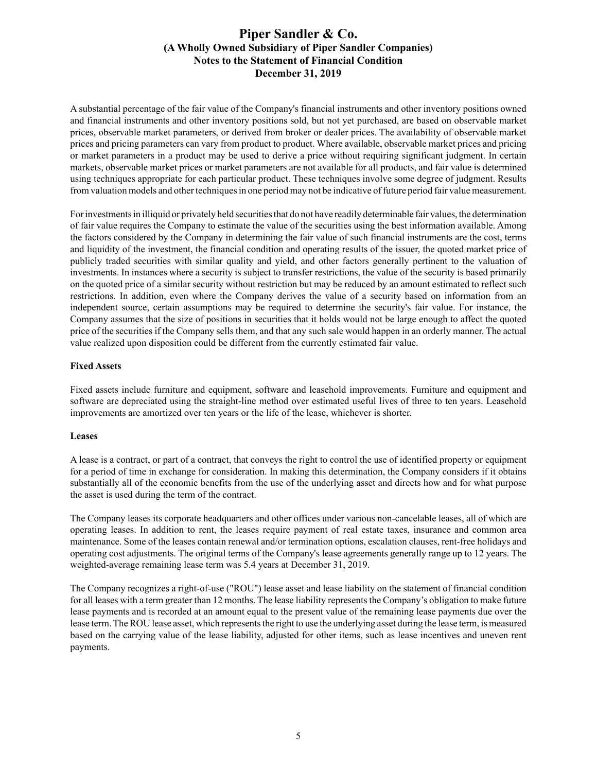A substantial percentage of the fair value of the Company's financial instruments and other inventory positions owned and financial instruments and other inventory positions sold, but not yet purchased, are based on observable market prices, observable market parameters, or derived from broker or dealer prices. The availability of observable market prices and pricing parameters can vary from product to product. Where available, observable market prices and pricing or market parameters in a product may be used to derive a price without requiring significant judgment. In certain markets, observable market prices or market parameters are not available for all products, and fair value is determined using techniques appropriate for each particular product. These techniques involve some degree of judgment. Results from valuation models and other techniques in one period may not be indicative of future period fair value measurement.

For investments in illiquid or privately held securities that do not have readily determinable fair values, the determination of fair value requires the Company to estimate the value of the securities using the best information available. Among the factors considered by the Company in determining the fair value of such financial instruments are the cost, terms and liquidity of the investment, the financial condition and operating results of the issuer, the quoted market price of publicly traded securities with similar quality and yield, and other factors generally pertinent to the valuation of investments. In instances where a security is subject to transfer restrictions, the value of the security is based primarily on the quoted price of a similar security without restriction but may be reduced by an amount estimated to reflect such restrictions. In addition, even where the Company derives the value of a security based on information from an independent source, certain assumptions may be required to determine the security's fair value. For instance, the Company assumes that the size of positions in securities that it holds would not be large enough to affect the quoted price of the securities if the Company sells them, and that any such sale would happen in an orderly manner. The actual value realized upon disposition could be different from the currently estimated fair value.

## **Fixed Assets**

Fixed assets include furniture and equipment, software and leasehold improvements. Furniture and equipment and software are depreciated using the straight-line method over estimated useful lives of three to ten years. Leasehold improvements are amortized over ten years or the life of the lease, whichever is shorter.

## **Leases**

A lease is a contract, or part of a contract, that conveys the right to control the use of identified property or equipment for a period of time in exchange for consideration. In making this determination, the Company considers if it obtains substantially all of the economic benefits from the use of the underlying asset and directs how and for what purpose the asset is used during the term of the contract.

The Company leases its corporate headquarters and other offices under various non-cancelable leases, all of which are operating leases. In addition to rent, the leases require payment of real estate taxes, insurance and common area maintenance. Some of the leases contain renewal and/or termination options, escalation clauses, rent-free holidays and operating cost adjustments. The original terms of the Company's lease agreements generally range up to 12 years. The weighted-average remaining lease term was 5.4 years at December 31, 2019.

The Company recognizes a right-of-use ("ROU") lease asset and lease liability on the statement of financial condition for all leases with a term greater than 12 months. The lease liability represents the Company's obligation to make future lease payments and is recorded at an amount equal to the present value of the remaining lease payments due over the lease term. The ROU lease asset, which represents the right to use the underlying asset during the lease term, is measured based on the carrying value of the lease liability, adjusted for other items, such as lease incentives and uneven rent payments.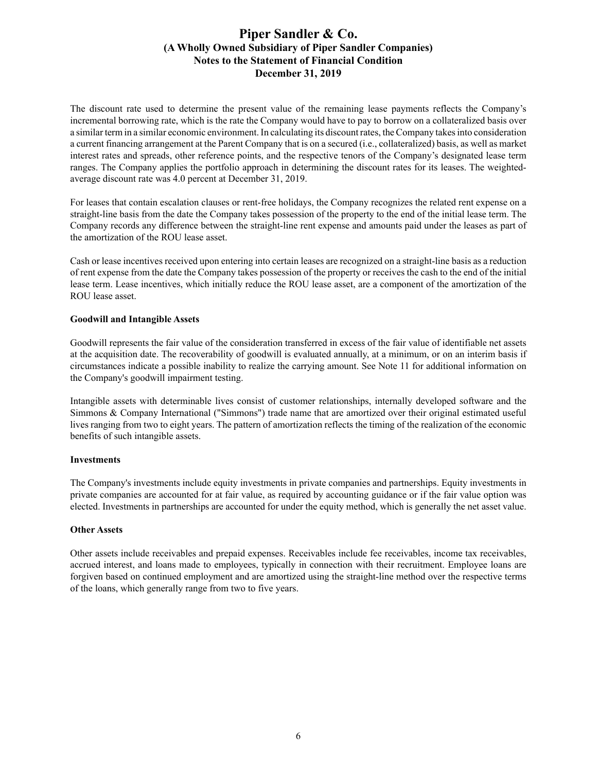The discount rate used to determine the present value of the remaining lease payments reflects the Company's incremental borrowing rate, which is the rate the Company would have to pay to borrow on a collateralized basis over a similar term in a similar economic environment. In calculating its discount rates, the Company takes into consideration a current financing arrangement at the Parent Company that is on a secured (i.e., collateralized) basis, as well as market interest rates and spreads, other reference points, and the respective tenors of the Company's designated lease term ranges. The Company applies the portfolio approach in determining the discount rates for its leases. The weightedaverage discount rate was 4.0 percent at December 31, 2019.

For leases that contain escalation clauses or rent-free holidays, the Company recognizes the related rent expense on a straight-line basis from the date the Company takes possession of the property to the end of the initial lease term. The Company records any difference between the straight-line rent expense and amounts paid under the leases as part of the amortization of the ROU lease asset.

Cash or lease incentives received upon entering into certain leases are recognized on a straight-line basis as a reduction of rent expense from the date the Company takes possession of the property or receives the cash to the end of the initial lease term. Lease incentives, which initially reduce the ROU lease asset, are a component of the amortization of the ROU lease asset.

## **Goodwill and Intangible Assets**

Goodwill represents the fair value of the consideration transferred in excess of the fair value of identifiable net assets at the acquisition date. The recoverability of goodwill is evaluated annually, at a minimum, or on an interim basis if circumstances indicate a possible inability to realize the carrying amount. See Note 11 for additional information on the Company's goodwill impairment testing.

Intangible assets with determinable lives consist of customer relationships, internally developed software and the Simmons & Company International ("Simmons") trade name that are amortized over their original estimated useful lives ranging from two to eight years. The pattern of amortization reflects the timing of the realization of the economic benefits of such intangible assets.

## **Investments**

The Company's investments include equity investments in private companies and partnerships. Equity investments in private companies are accounted for at fair value, as required by accounting guidance or if the fair value option was elected. Investments in partnerships are accounted for under the equity method, which is generally the net asset value.

## **Other Assets**

Other assets include receivables and prepaid expenses. Receivables include fee receivables, income tax receivables, accrued interest, and loans made to employees, typically in connection with their recruitment. Employee loans are forgiven based on continued employment and are amortized using the straight-line method over the respective terms of the loans, which generally range from two to five years.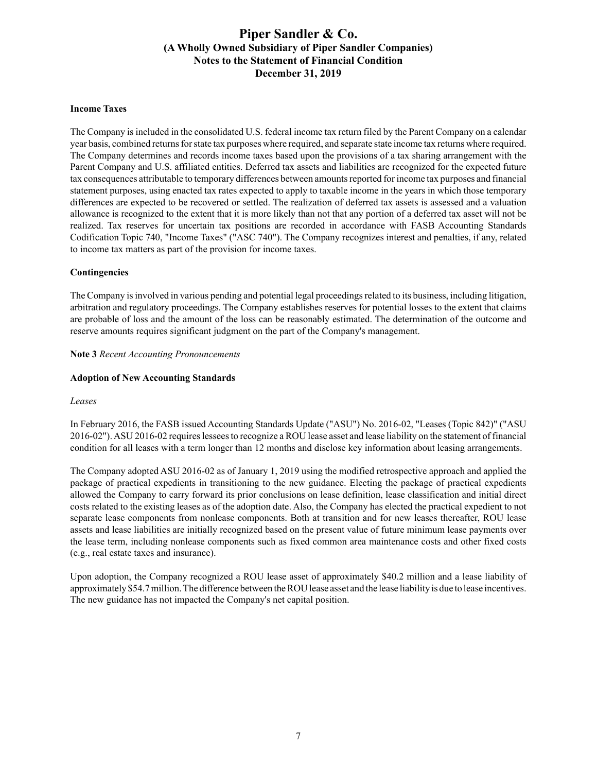### **Income Taxes**

The Company is included in the consolidated U.S. federal income tax return filed by the Parent Company on a calendar year basis, combined returns for state tax purposes where required, and separate state income tax returns where required. The Company determines and records income taxes based upon the provisions of a tax sharing arrangement with the Parent Company and U.S. affiliated entities. Deferred tax assets and liabilities are recognized for the expected future tax consequences attributable to temporary differences between amounts reported for income tax purposes and financial statement purposes, using enacted tax rates expected to apply to taxable income in the years in which those temporary differences are expected to be recovered or settled. The realization of deferred tax assets is assessed and a valuation allowance is recognized to the extent that it is more likely than not that any portion of a deferred tax asset will not be realized. Tax reserves for uncertain tax positions are recorded in accordance with FASB Accounting Standards Codification Topic 740, "Income Taxes" ("ASC 740"). The Company recognizes interest and penalties, if any, related to income tax matters as part of the provision for income taxes.

### **Contingencies**

The Company is involved in various pending and potential legal proceedings related to its business, including litigation, arbitration and regulatory proceedings. The Company establishes reserves for potential losses to the extent that claims are probable of loss and the amount of the loss can be reasonably estimated. The determination of the outcome and reserve amounts requires significant judgment on the part of the Company's management.

**Note 3** *Recent Accounting Pronouncements*

### **Adoption of New Accounting Standards**

#### *Leases*

In February 2016, the FASB issued Accounting Standards Update ("ASU") No. 2016-02, "Leases (Topic 842)" ("ASU 2016-02"). ASU 2016-02 requires lessees to recognize a ROU lease asset and lease liability on the statement of financial condition for all leases with a term longer than 12 months and disclose key information about leasing arrangements.

The Company adopted ASU 2016-02 as of January 1, 2019 using the modified retrospective approach and applied the package of practical expedients in transitioning to the new guidance. Electing the package of practical expedients allowed the Company to carry forward its prior conclusions on lease definition, lease classification and initial direct costs related to the existing leases as of the adoption date. Also, the Company has elected the practical expedient to not separate lease components from nonlease components. Both at transition and for new leases thereafter, ROU lease assets and lease liabilities are initially recognized based on the present value of future minimum lease payments over the lease term, including nonlease components such as fixed common area maintenance costs and other fixed costs (e.g., real estate taxes and insurance).

Upon adoption, the Company recognized a ROU lease asset of approximately \$40.2 million and a lease liability of approximately \$54.7 million. The difference between the ROU lease asset and the lease liability is due to lease incentives. The new guidance has not impacted the Company's net capital position.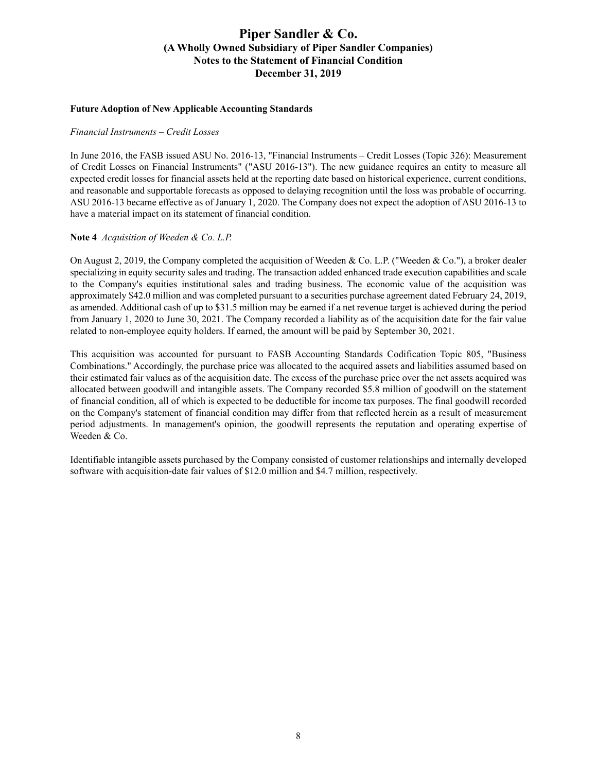#### **Future Adoption of New Applicable Accounting Standards**

#### *Financial Instruments – Credit Losses*

In June 2016, the FASB issued ASU No. 2016-13, "Financial Instruments – Credit Losses (Topic 326): Measurement of Credit Losses on Financial Instruments" ("ASU 2016-13"). The new guidance requires an entity to measure all expected credit losses for financial assets held at the reporting date based on historical experience, current conditions, and reasonable and supportable forecasts as opposed to delaying recognition until the loss was probable of occurring. ASU 2016-13 became effective as of January 1, 2020. The Company does not expect the adoption of ASU 2016-13 to have a material impact on its statement of financial condition.

### **Note 4** *Acquisition of Weeden & Co. L.P.*

On August 2, 2019, the Company completed the acquisition of Weeden & Co. L.P. ("Weeden & Co."), a broker dealer specializing in equity security sales and trading. The transaction added enhanced trade execution capabilities and scale to the Company's equities institutional sales and trading business. The economic value of the acquisition was approximately \$42.0 million and was completed pursuant to a securities purchase agreement dated February 24, 2019, as amended. Additional cash of up to \$31.5 million may be earned if a net revenue target is achieved during the period from January 1, 2020 to June 30, 2021. The Company recorded a liability as of the acquisition date for the fair value related to non-employee equity holders. If earned, the amount will be paid by September 30, 2021.

This acquisition was accounted for pursuant to FASB Accounting Standards Codification Topic 805, "Business Combinations." Accordingly, the purchase price was allocated to the acquired assets and liabilities assumed based on their estimated fair values as of the acquisition date. The excess of the purchase price over the net assets acquired was allocated between goodwill and intangible assets. The Company recorded \$5.8 million of goodwill on the statement of financial condition, all of which is expected to be deductible for income tax purposes. The final goodwill recorded on the Company's statement of financial condition may differ from that reflected herein as a result of measurement period adjustments. In management's opinion, the goodwill represents the reputation and operating expertise of Weeden & Co.

Identifiable intangible assets purchased by the Company consisted of customer relationships and internally developed software with acquisition-date fair values of \$12.0 million and \$4.7 million, respectively.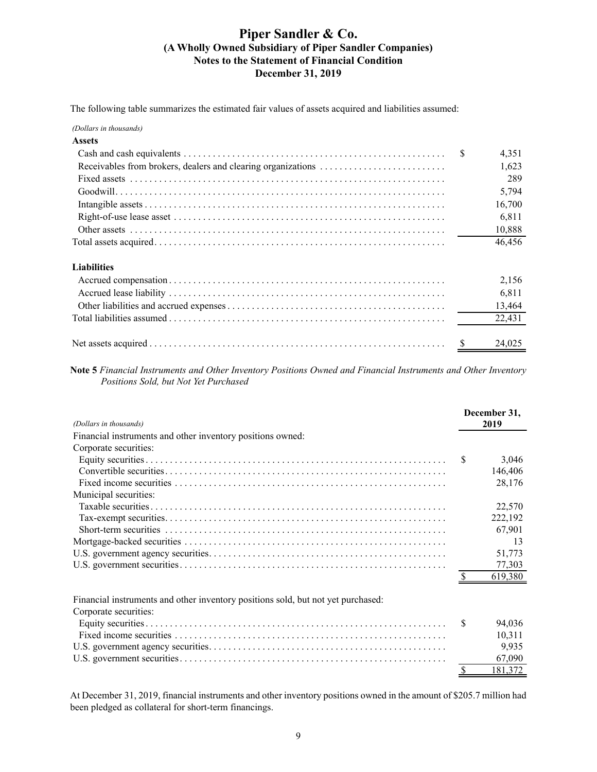The following table summarizes the estimated fair values of assets acquired and liabilities assumed:

*(Dollars in thousands)*

| <b>Assets</b>      |   |        |
|--------------------|---|--------|
|                    | S | 4,351  |
|                    |   | 1,623  |
|                    |   | 289    |
|                    |   | 5,794  |
|                    |   | 16,700 |
|                    |   | 6,811  |
|                    |   | 10,888 |
|                    |   | 46,456 |
| <b>Liabilities</b> |   |        |
|                    |   | 2,156  |
|                    |   | 6,811  |
|                    |   | 13,464 |
|                    |   | 22,431 |
|                    |   | 24,025 |

**Note 5** *Financial Instruments and Other Inventory Positions Owned and Financial Instruments and Other Inventory Positions Sold, but Not Yet Purchased*

| (Dollars in thousands)                                                           |               | December 31,<br>2019 |
|----------------------------------------------------------------------------------|---------------|----------------------|
| Financial instruments and other inventory positions owned:                       |               |                      |
| Corporate securities:                                                            |               |                      |
|                                                                                  | <sup>\$</sup> | 3,046                |
|                                                                                  |               | 146,406              |
|                                                                                  |               | 28,176               |
| Municipal securities:                                                            |               |                      |
|                                                                                  |               | 22,570               |
|                                                                                  |               | 222,192              |
|                                                                                  |               | 67,901               |
|                                                                                  |               | 13                   |
|                                                                                  |               | 51,773               |
|                                                                                  |               | 77,303               |
|                                                                                  |               | 619,380              |
| Financial instruments and other inventory positions sold, but not yet purchased: |               |                      |
| Corporate securities:                                                            |               |                      |
|                                                                                  | S             | 94,036               |
|                                                                                  |               | 10,311               |
|                                                                                  |               | 9,935                |
|                                                                                  |               | 67,090               |
|                                                                                  | \$            | 181,372              |

At December 31, 2019, financial instruments and other inventory positions owned in the amount of \$205.7 million had been pledged as collateral for short-term financings.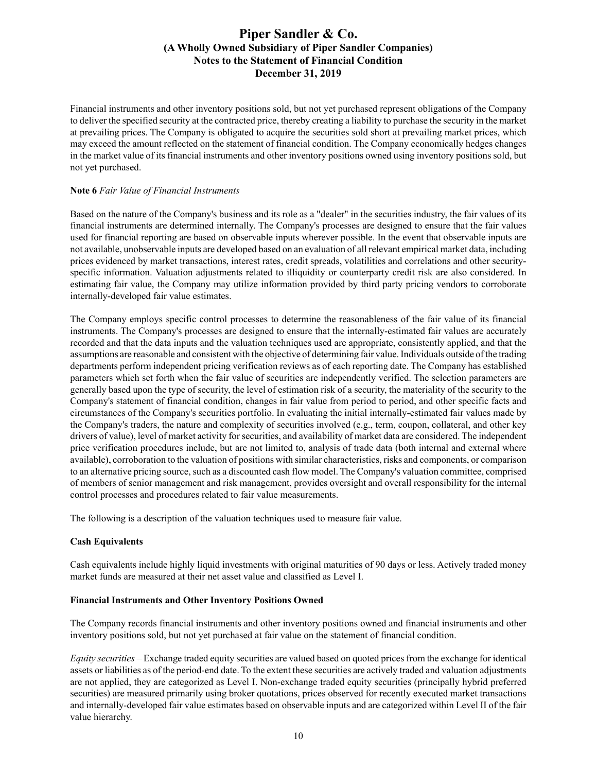Financial instruments and other inventory positions sold, but not yet purchased represent obligations of the Company to deliver the specified security at the contracted price, thereby creating a liability to purchase the security in the market at prevailing prices. The Company is obligated to acquire the securities sold short at prevailing market prices, which may exceed the amount reflected on the statement of financial condition. The Company economically hedges changes in the market value of its financial instruments and other inventory positions owned using inventory positions sold, but not yet purchased.

## **Note 6** *Fair Value of Financial Instruments*

Based on the nature of the Company's business and its role as a "dealer" in the securities industry, the fair values of its financial instruments are determined internally. The Company's processes are designed to ensure that the fair values used for financial reporting are based on observable inputs wherever possible. In the event that observable inputs are not available, unobservable inputs are developed based on an evaluation of all relevant empirical market data, including prices evidenced by market transactions, interest rates, credit spreads, volatilities and correlations and other securityspecific information. Valuation adjustments related to illiquidity or counterparty credit risk are also considered. In estimating fair value, the Company may utilize information provided by third party pricing vendors to corroborate internally-developed fair value estimates.

The Company employs specific control processes to determine the reasonableness of the fair value of its financial instruments. The Company's processes are designed to ensure that the internally-estimated fair values are accurately recorded and that the data inputs and the valuation techniques used are appropriate, consistently applied, and that the assumptions are reasonable and consistent with the objective of determining fair value. Individuals outside of the trading departments perform independent pricing verification reviews as of each reporting date. The Company has established parameters which set forth when the fair value of securities are independently verified. The selection parameters are generally based upon the type of security, the level of estimation risk of a security, the materiality of the security to the Company's statement of financial condition, changes in fair value from period to period, and other specific facts and circumstances of the Company's securities portfolio. In evaluating the initial internally-estimated fair values made by the Company's traders, the nature and complexity of securities involved (e.g., term, coupon, collateral, and other key drivers of value), level of market activity for securities, and availability of market data are considered. The independent price verification procedures include, but are not limited to, analysis of trade data (both internal and external where available), corroboration to the valuation of positions with similar characteristics, risks and components, or comparison to an alternative pricing source, such as a discounted cash flow model. The Company's valuation committee, comprised of members of senior management and risk management, provides oversight and overall responsibility for the internal control processes and procedures related to fair value measurements.

The following is a description of the valuation techniques used to measure fair value.

## **Cash Equivalents**

Cash equivalents include highly liquid investments with original maturities of 90 days or less. Actively traded money market funds are measured at their net asset value and classified as Level I.

### **Financial Instruments and Other Inventory Positions Owned**

The Company records financial instruments and other inventory positions owned and financial instruments and other inventory positions sold, but not yet purchased at fair value on the statement of financial condition.

*Equity securities –* Exchange traded equity securities are valued based on quoted prices from the exchange for identical assets or liabilities as of the period-end date. To the extent these securities are actively traded and valuation adjustments are not applied, they are categorized as Level I. Non-exchange traded equity securities (principally hybrid preferred securities) are measured primarily using broker quotations, prices observed for recently executed market transactions and internally-developed fair value estimates based on observable inputs and are categorized within Level II of the fair value hierarchy.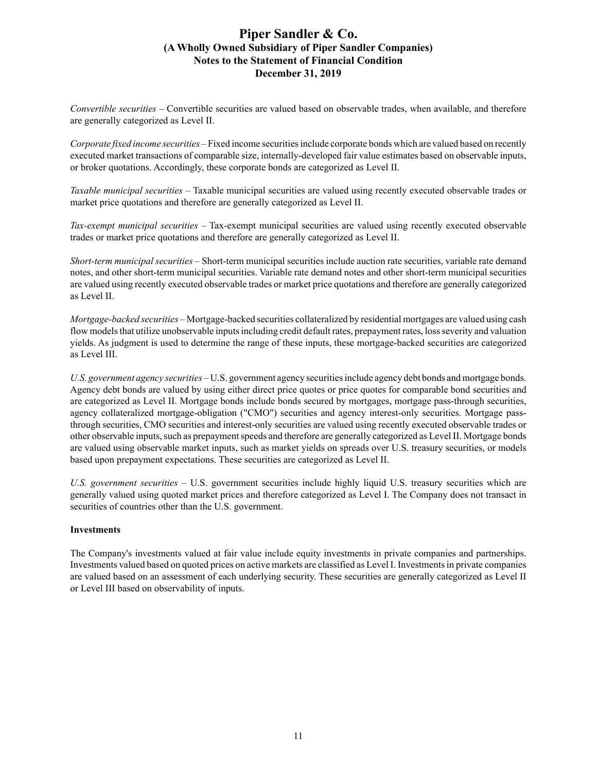*Convertible securities –* Convertible securities are valued based on observable trades, when available, and therefore are generally categorized as Level II.

*Corporate fixed income securities –*Fixed income securities include corporate bonds which are valued based on recently executed market transactions of comparable size, internally-developed fair value estimates based on observable inputs, or broker quotations. Accordingly, these corporate bonds are categorized as Level II.

*Taxable municipal securities –* Taxable municipal securities are valued using recently executed observable trades or market price quotations and therefore are generally categorized as Level II.

*Tax-exempt municipal securities –* Tax-exempt municipal securities are valued using recently executed observable trades or market price quotations and therefore are generally categorized as Level II.

*Short-term municipal securities –* Short-term municipal securities include auction rate securities, variable rate demand notes, and other short-term municipal securities. Variable rate demand notes and other short-term municipal securities are valued using recently executed observable trades or market price quotations and therefore are generally categorized as Level II.

*Mortgage-backed securities –* Mortgage-backed securities collateralized by residential mortgages are valued using cash flow models that utilize unobservable inputs including credit default rates, prepayment rates, loss severity and valuation yields. As judgment is used to determine the range of these inputs, these mortgage-backed securities are categorized as Level III.

*U.S. government agency securities –* U.S. government agency securities include agency debt bonds and mortgage bonds. Agency debt bonds are valued by using either direct price quotes or price quotes for comparable bond securities and are categorized as Level II. Mortgage bonds include bonds secured by mortgages, mortgage pass-through securities, agency collateralized mortgage-obligation ("CMO") securities and agency interest-only securities. Mortgage passthrough securities, CMO securities and interest-only securities are valued using recently executed observable trades or other observable inputs, such as prepayment speeds and therefore are generally categorized as Level II. Mortgage bonds are valued using observable market inputs, such as market yields on spreads over U.S. treasury securities, or models based upon prepayment expectations. These securities are categorized as Level II.

*U.S. government securities –* U.S. government securities include highly liquid U.S. treasury securities which are generally valued using quoted market prices and therefore categorized as Level I. The Company does not transact in securities of countries other than the U.S. government.

## **Investments**

The Company's investments valued at fair value include equity investments in private companies and partnerships. Investments valued based on quoted prices on active markets are classified as Level I. Investments in private companies are valued based on an assessment of each underlying security. These securities are generally categorized as Level II or Level III based on observability of inputs.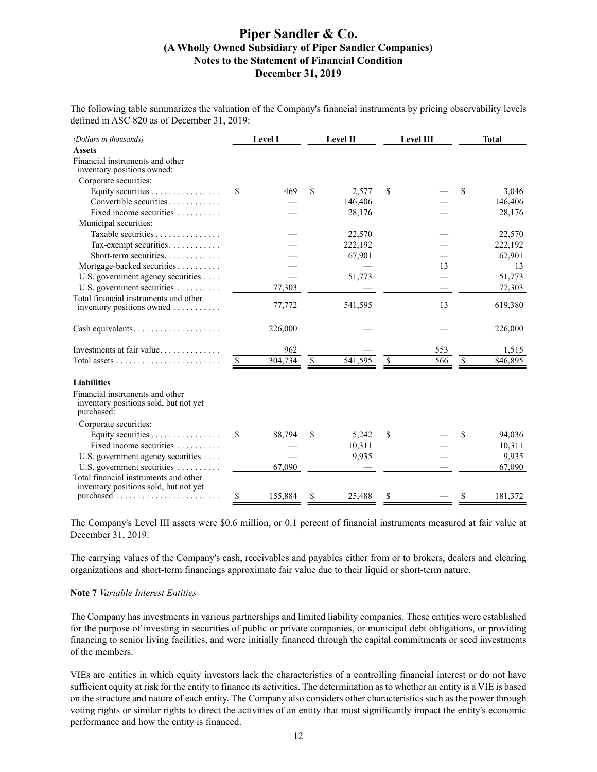The following table summarizes the valuation of the Company's financial instruments by pricing observability levels defined in ASC 820 as of December 31, 2019:

| (Dollars in thousands)                                                                 |               | <b>Level I</b> | Level II      |    | Level III | <b>Total</b>  |
|----------------------------------------------------------------------------------------|---------------|----------------|---------------|----|-----------|---------------|
| <b>Assets</b>                                                                          |               |                |               |    |           |               |
| Financial instruments and other<br>inventory positions owned:                          |               |                |               |    |           |               |
| Corporate securities:                                                                  |               |                |               |    |           |               |
| Equity securities $\dots \dots \dots \dots \dots$                                      | \$            | 469            | \$<br>2,577   | S  |           | \$<br>3,046   |
| Convertible securities                                                                 |               |                | 146,406       |    |           | 146,406       |
| Fixed income securities $\ldots$                                                       |               |                | 28,176        |    |           | 28,176        |
| Municipal securities:                                                                  |               |                |               |    |           |               |
| Taxable securities $\ldots$ , $\ldots$                                                 |               |                | 22,570        |    |           | 22,570        |
| Tax-exempt securities                                                                  |               |                | 222,192       |    |           | 222,192       |
| Short-term securities                                                                  |               |                | 67,901        |    |           | 67,901        |
| Mortgage-backed securities                                                             |               |                |               |    | 13        | 13            |
| U.S. government agency securities                                                      |               |                | 51,773        |    |           | 51,773        |
| U.S. government securities                                                             |               | 77,303         |               |    |           | 77,303        |
| Total financial instruments and other                                                  |               |                |               |    |           |               |
| inventory positions owned                                                              |               | 77,772         | 541,595       |    | 13        | 619,380       |
|                                                                                        |               | 226,000        |               |    |           | 226,000       |
| Investments at fair value                                                              |               | 962            |               |    | 553       | 1,515         |
|                                                                                        | <sup>\$</sup> | 304,734        | \$<br>541,595 | \$ | 566       | \$<br>846,895 |
| <b>Liabilities</b>                                                                     |               |                |               |    |           |               |
| Financial instruments and other<br>inventory positions sold, but not yet<br>purchased: |               |                |               |    |           |               |
| Corporate securities:                                                                  |               |                |               |    |           |               |
| Equity securities $\dots \dots \dots \dots$                                            | \$            | 88,794         | \$<br>5,242   | \$ |           | \$<br>94,036  |
| Fixed income securities                                                                |               |                | 10,311        |    |           | 10,311        |
| U.S. government agency securities                                                      |               |                | 9,935         |    |           | 9,935         |
| U.S. government securities                                                             |               | 67,090         |               |    |           | 67,090        |
| Total financial instruments and other<br>inventory positions sold, but not yet         |               |                |               |    |           |               |
|                                                                                        | \$            | 155,884        | \$<br>25.488  | \$ |           | \$<br>181,372 |

The Company's Level III assets were \$0.6 million, or 0.1 percent of financial instruments measured at fair value at December 31, 2019.

The carrying values of the Company's cash, receivables and payables either from or to brokers, dealers and clearing organizations and short-term financings approximate fair value due to their liquid or short-term nature.

#### **Note 7** *Variable Interest Entities*

The Company has investments in various partnerships and limited liability companies. These entities were established for the purpose of investing in securities of public or private companies, or municipal debt obligations, or providing financing to senior living facilities, and were initially financed through the capital commitments or seed investments of the members.

VIEs are entities in which equity investors lack the characteristics of a controlling financial interest or do not have sufficient equity at risk for the entity to finance its activities. The determination as to whether an entity is a VIE is based on the structure and nature of each entity. The Company also considers other characteristics such as the power through voting rights or similar rights to direct the activities of an entity that most significantly impact the entity's economic performance and how the entity is financed.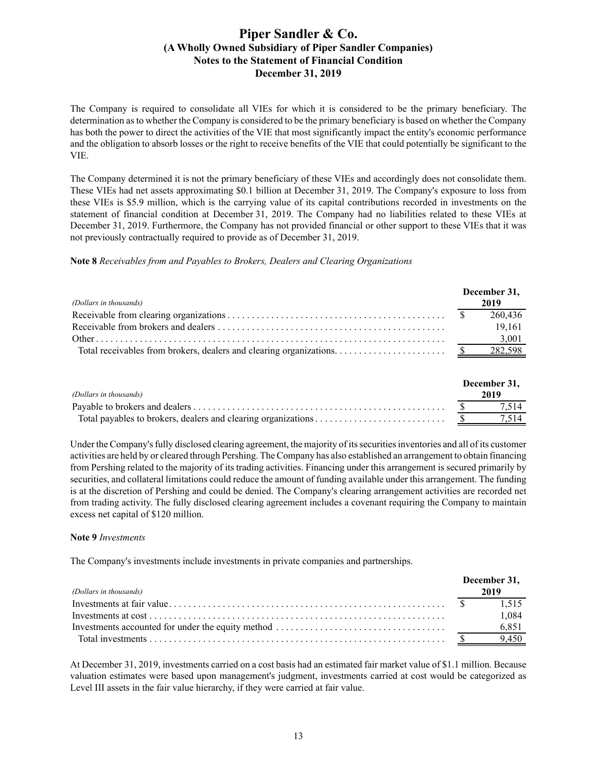The Company is required to consolidate all VIEs for which it is considered to be the primary beneficiary. The determination as to whether the Company is considered to be the primary beneficiary is based on whether the Company has both the power to direct the activities of the VIE that most significantly impact the entity's economic performance and the obligation to absorb losses or the right to receive benefits of the VIE that could potentially be significant to the VIE.

The Company determined it is not the primary beneficiary of these VIEs and accordingly does not consolidate them. These VIEs had net assets approximating \$0.1 billion at December 31, 2019. The Company's exposure to loss from these VIEs is \$5.9 million, which is the carrying value of its capital contributions recorded in investments on the statement of financial condition at December 31, 2019. The Company had no liabilities related to these VIEs at December 31, 2019. Furthermore, the Company has not provided financial or other support to these VIEs that it was not previously contractually required to provide as of December 31, 2019.

**Note 8** *Receivables from and Payables to Brokers, Dealers and Clearing Organizations*

|                        | December 31, |
|------------------------|--------------|
| (Dollars in thousands) | 2019         |
|                        | 260,436      |
|                        | 19.161       |
|                        | 3,001        |
|                        |              |

| (Dollars in thousands) | December 31,<br>2019 |
|------------------------|----------------------|
|                        | 7.514                |
|                        |                      |

Under the Company's fully disclosed clearing agreement, the majority of its securities inventories and all of its customer activities are held by or cleared through Pershing. The Company has also established an arrangement to obtain financing from Pershing related to the majority of its trading activities. Financing under this arrangement is secured primarily by securities, and collateral limitations could reduce the amount of funding available under this arrangement. The funding is at the discretion of Pershing and could be denied. The Company's clearing arrangement activities are recorded net from trading activity. The fully disclosed clearing agreement includes a covenant requiring the Company to maintain excess net capital of \$120 million.

#### **Note 9** *Investments*

The Company's investments include investments in private companies and partnerships.

| (Dollars in thousands) | December 31,<br>2019 |
|------------------------|----------------------|
|                        | 1.515                |
|                        | 1.084                |
|                        | 6.851                |
|                        | $\frac{1}{2}$ 9.450  |

At December 31, 2019, investments carried on a cost basis had an estimated fair market value of \$1.1 million. Because valuation estimates were based upon management's judgment, investments carried at cost would be categorized as Level III assets in the fair value hierarchy, if they were carried at fair value.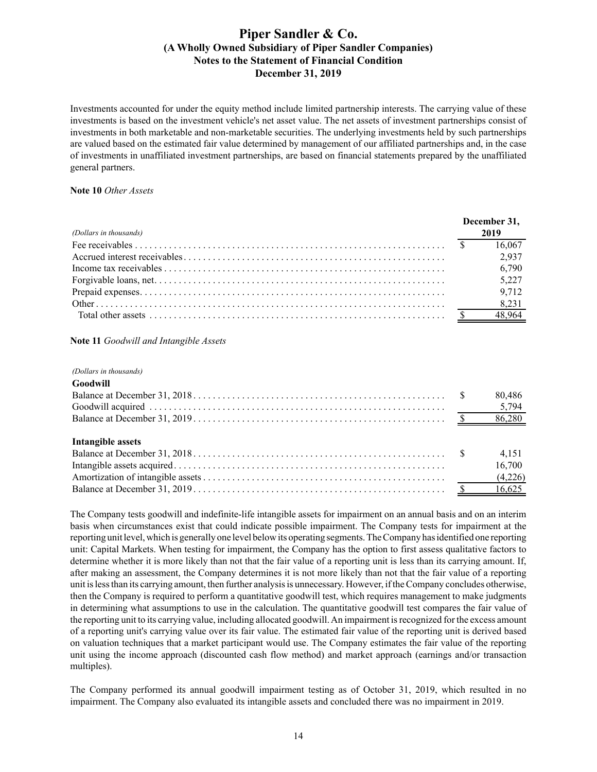Investments accounted for under the equity method include limited partnership interests. The carrying value of these investments is based on the investment vehicle's net asset value. The net assets of investment partnerships consist of investments in both marketable and non-marketable securities. The underlying investments held by such partnerships are valued based on the estimated fair value determined by management of our affiliated partnerships and, in the case of investments in unaffiliated investment partnerships, are based on financial statements prepared by the unaffiliated general partners.

#### **Note 10** *Other Assets*

|                        | December 31. |        |
|------------------------|--------------|--------|
| (Dollars in thousands) |              | 2019   |
|                        |              | 16,067 |
|                        |              | 2,937  |
|                        |              | 6,790  |
|                        |              | 5,227  |
|                        |              | 9,712  |
|                        |              | 8,231  |
|                        |              | 48,964 |

### **Note 11** *Goodwill and Intangible Assets*

#### *(Dollars in thousands)*

| Goodwill          |         |
|-------------------|---------|
|                   | 80,486  |
|                   |         |
|                   |         |
|                   |         |
| Intangible assets |         |
|                   | 4.151   |
|                   | 16,700  |
|                   | (4,226) |

Balance at December 31, 2019 . . . . . . . . . . . . . . . . . . . . . . . . . . . . . . . . . . . . . . . . . . . . . . . . . . . . \$ 16,625

The Company tests goodwill and indefinite-life intangible assets for impairment on an annual basis and on an interim basis when circumstances exist that could indicate possible impairment. The Company tests for impairment at the reporting unit level, which is generally one level below its operating segments. The Company has identified one reporting unit: Capital Markets. When testing for impairment, the Company has the option to first assess qualitative factors to determine whether it is more likely than not that the fair value of a reporting unit is less than its carrying amount. If, after making an assessment, the Company determines it is not more likely than not that the fair value of a reporting unit is less than its carrying amount, then further analysis is unnecessary. However, if the Company concludes otherwise, then the Company is required to perform a quantitative goodwill test, which requires management to make judgments in determining what assumptions to use in the calculation. The quantitative goodwill test compares the fair value of the reporting unit to its carrying value, including allocated goodwill. An impairment is recognized for the excess amount of a reporting unit's carrying value over its fair value. The estimated fair value of the reporting unit is derived based on valuation techniques that a market participant would use. The Company estimates the fair value of the reporting unit using the income approach (discounted cash flow method) and market approach (earnings and/or transaction multiples).

The Company performed its annual goodwill impairment testing as of October 31, 2019, which resulted in no impairment. The Company also evaluated its intangible assets and concluded there was no impairment in 2019.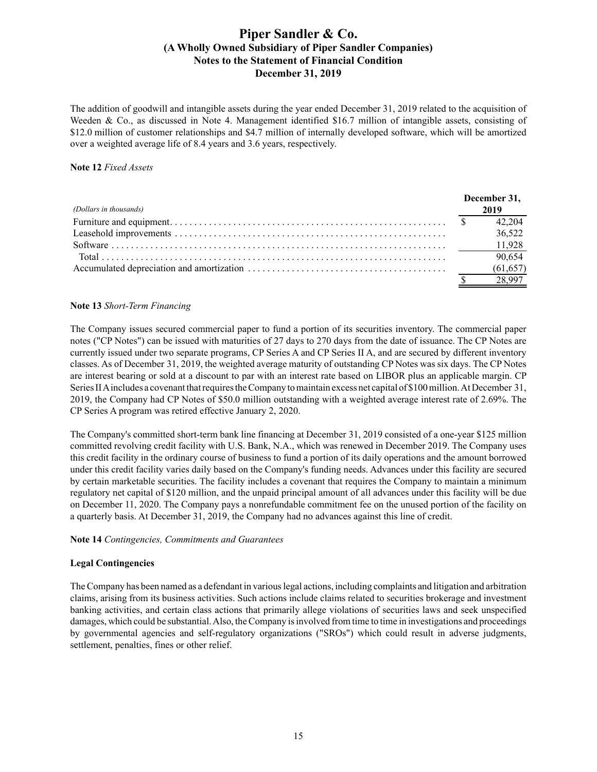The addition of goodwill and intangible assets during the year ended December 31, 2019 related to the acquisition of Weeden & Co., as discussed in Note 4. Management identified \$16.7 million of intangible assets, consisting of \$12.0 million of customer relationships and \$4.7 million of internally developed software, which will be amortized over a weighted average life of 8.4 years and 3.6 years, respectively.

#### **Note 12** *Fixed Assets*

|                        | December 31, |           |
|------------------------|--------------|-----------|
| (Dollars in thousands) |              | 2019      |
|                        |              | 42 204    |
|                        |              | 36.522    |
|                        |              |           |
|                        |              | 90,654    |
|                        |              | (61, 657) |
|                        |              |           |

## **Note 13** *Short-Term Financing*

The Company issues secured commercial paper to fund a portion of its securities inventory. The commercial paper notes ("CP Notes") can be issued with maturities of 27 days to 270 days from the date of issuance. The CP Notes are currently issued under two separate programs, CP Series A and CP Series II A, and are secured by different inventory classes. As of December 31, 2019, the weighted average maturity of outstanding CP Notes was six days. The CP Notes are interest bearing or sold at a discount to par with an interest rate based on LIBOR plus an applicable margin. CP Series II Aincludes a covenant that requires the Company to maintain excess net capital of \$100 million. At December 31, 2019, the Company had CP Notes of \$50.0 million outstanding with a weighted average interest rate of 2.69%. The CP Series A program was retired effective January 2, 2020.

The Company's committed short-term bank line financing at December 31, 2019 consisted of a one-year \$125 million committed revolving credit facility with U.S. Bank, N.A., which was renewed in December 2019. The Company uses this credit facility in the ordinary course of business to fund a portion of its daily operations and the amount borrowed under this credit facility varies daily based on the Company's funding needs. Advances under this facility are secured by certain marketable securities. The facility includes a covenant that requires the Company to maintain a minimum regulatory net capital of \$120 million, and the unpaid principal amount of all advances under this facility will be due on December 11, 2020. The Company pays a nonrefundable commitment fee on the unused portion of the facility on a quarterly basis. At December 31, 2019, the Company had no advances against this line of credit.

#### **Note 14** *Contingencies, Commitments and Guarantees*

## **Legal Contingencies**

The Company has been named as a defendant in various legal actions, including complaints and litigation and arbitration claims, arising from its business activities. Such actions include claims related to securities brokerage and investment banking activities, and certain class actions that primarily allege violations of securities laws and seek unspecified damages, which could be substantial. Also, the Company is involved from time to time in investigations and proceedings by governmental agencies and self-regulatory organizations ("SROs") which could result in adverse judgments, settlement, penalties, fines or other relief.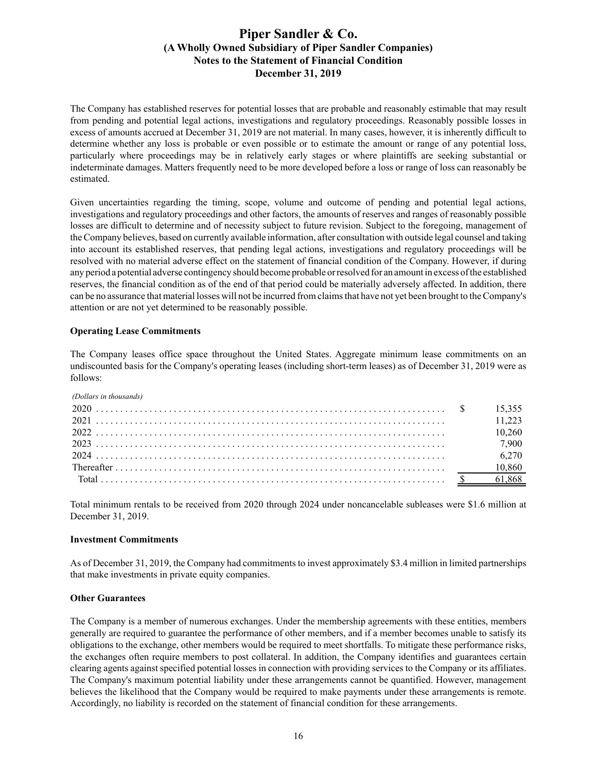The Company has established reserves for potential losses that are probable and reasonably estimable that may result from pending and potential legal actions, investigations and regulatory proceedings. Reasonably possible losses in excess of amounts accrued at December 31, 2019 are not material. In many cases, however, it is inherently difficult to determine whether any loss is probable or even possible or to estimate the amount or range of any potential loss, particularly where proceedings may be in relatively early stages or where plaintiffs are seeking substantial or indeterminate damages. Matters frequently need to be more developed before a loss or range of loss can reasonably be estimated.

Given uncertainties regarding the timing, scope, volume and outcome of pending and potential legal actions, investigations and regulatory proceedings and other factors, the amounts of reserves and ranges of reasonably possible losses are difficult to determine and of necessity subject to future revision. Subject to the foregoing, management of the Company believes, based on currently available information, after consultation with outside legal counsel and taking into account its established reserves, that pending legal actions, investigations and regulatory proceedings will be resolved with no material adverse effect on the statement of financial condition of the Company. However, if during any period a potential adverse contingency should become probable or resolved for an amount in excess of the established reserves, the financial condition as of the end of that period could be materially adversely affected. In addition, there can be no assurance that material losses will not be incurred from claims that have not yet been brought to the Company's attention or are not yet determined to be reasonably possible.

### **Operating Lease Commitments**

The Company leases office space throughout the United States. Aggregate minimum lease commitments on an undiscounted basis for the Company's operating leases (including short-term leases) as of December 31, 2019 were as follows:

*(Dollars in thousands)*

|  | 10 260  |
|--|---------|
|  | 7 900   |
|  | 6 2 7 0 |
|  | 10,860  |
|  |         |

Total minimum rentals to be received from 2020 through 2024 under noncancelable subleases were \$1.6 million at December 31, 2019.

#### **Investment Commitments**

As of December 31, 2019, the Company had commitments to invest approximately \$3.4 million in limited partnerships that make investments in private equity companies.

#### **Other Guarantees**

The Company is a member of numerous exchanges. Under the membership agreements with these entities, members generally are required to guarantee the performance of other members, and if a member becomes unable to satisfy its obligations to the exchange, other members would be required to meet shortfalls. To mitigate these performance risks, the exchanges often require members to post collateral. In addition, the Company identifies and guarantees certain clearing agents against specified potential losses in connection with providing services to the Company or its affiliates. The Company's maximum potential liability under these arrangements cannot be quantified. However, management believes the likelihood that the Company would be required to make payments under these arrangements is remote. Accordingly, no liability is recorded on the statement of financial condition for these arrangements.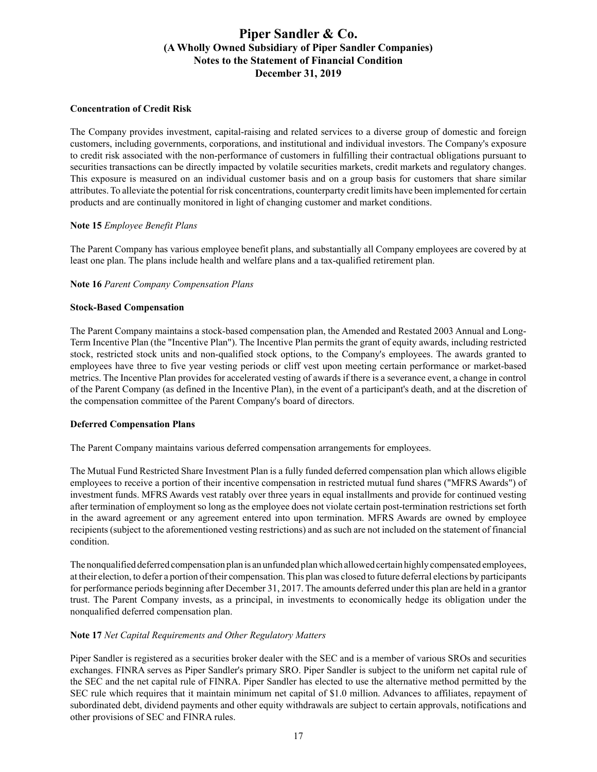### **Concentration of Credit Risk**

The Company provides investment, capital-raising and related services to a diverse group of domestic and foreign customers, including governments, corporations, and institutional and individual investors. The Company's exposure to credit risk associated with the non-performance of customers in fulfilling their contractual obligations pursuant to securities transactions can be directly impacted by volatile securities markets, credit markets and regulatory changes. This exposure is measured on an individual customer basis and on a group basis for customers that share similar attributes. To alleviate the potential for risk concentrations, counterparty credit limits have been implemented for certain products and are continually monitored in light of changing customer and market conditions.

## **Note 15** *Employee Benefit Plans*

The Parent Company has various employee benefit plans, and substantially all Company employees are covered by at least one plan. The plans include health and welfare plans and a tax-qualified retirement plan.

## **Note 16** *Parent Company Compensation Plans*

### **Stock-Based Compensation**

The Parent Company maintains a stock-based compensation plan, the Amended and Restated 2003 Annual and Long-Term Incentive Plan (the "Incentive Plan"). The Incentive Plan permits the grant of equity awards, including restricted stock, restricted stock units and non-qualified stock options, to the Company's employees. The awards granted to employees have three to five year vesting periods or cliff vest upon meeting certain performance or market-based metrics. The Incentive Plan provides for accelerated vesting of awards if there is a severance event, a change in control of the Parent Company (as defined in the Incentive Plan), in the event of a participant's death, and at the discretion of the compensation committee of the Parent Company's board of directors.

#### **Deferred Compensation Plans**

The Parent Company maintains various deferred compensation arrangements for employees.

The Mutual Fund Restricted Share Investment Plan is a fully funded deferred compensation plan which allows eligible employees to receive a portion of their incentive compensation in restricted mutual fund shares ("MFRS Awards") of investment funds. MFRS Awards vest ratably over three years in equal installments and provide for continued vesting after termination of employment so long as the employee does not violate certain post-termination restrictions set forth in the award agreement or any agreement entered into upon termination. MFRS Awards are owned by employee recipients (subject to the aforementioned vesting restrictions) and as such are not included on the statement of financial condition.

The nonqualified deferred compensation plan is an unfunded plan which allowed certain highly compensated employees, at their election, to defer a portion of their compensation. This plan was closed to future deferral elections by participants for performance periods beginning after December 31, 2017. The amounts deferred under this plan are held in a grantor trust. The Parent Company invests, as a principal, in investments to economically hedge its obligation under the nonqualified deferred compensation plan.

## **Note 17** *Net Capital Requirements and Other Regulatory Matters*

Piper Sandler is registered as a securities broker dealer with the SEC and is a member of various SROs and securities exchanges. FINRA serves as Piper Sandler's primary SRO. Piper Sandler is subject to the uniform net capital rule of the SEC and the net capital rule of FINRA. Piper Sandler has elected to use the alternative method permitted by the SEC rule which requires that it maintain minimum net capital of \$1.0 million. Advances to affiliates, repayment of subordinated debt, dividend payments and other equity withdrawals are subject to certain approvals, notifications and other provisions of SEC and FINRA rules.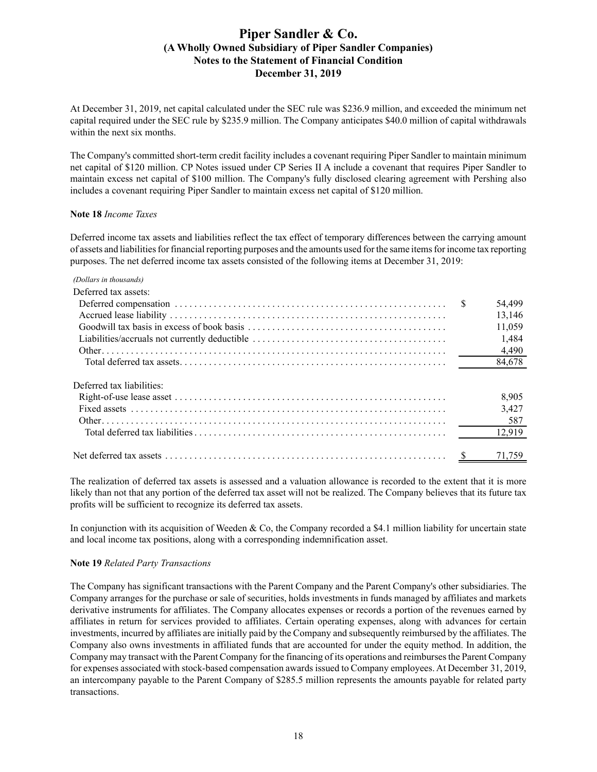At December 31, 2019, net capital calculated under the SEC rule was \$236.9 million, and exceeded the minimum net capital required under the SEC rule by \$235.9 million. The Company anticipates \$40.0 million of capital withdrawals within the next six months.

The Company's committed short-term credit facility includes a covenant requiring Piper Sandler to maintain minimum net capital of \$120 million. CP Notes issued under CP Series II A include a covenant that requires Piper Sandler to maintain excess net capital of \$100 million. The Company's fully disclosed clearing agreement with Pershing also includes a covenant requiring Piper Sandler to maintain excess net capital of \$120 million.

### **Note 18** *Income Taxes*

Deferred income tax assets and liabilities reflect the tax effect of temporary differences between the carrying amount of assets and liabilities for financial reporting purposes and the amounts used for the same items for income tax reporting purposes. The net deferred income tax assets consisted of the following items at December 31, 2019:

# *(Dollars in thousands)* Deferred tax assets: Deferred compensation . . . . . . . . . . . . . . . . . . . . . . . . . . . . . . . . . . . . . . . . . . . . . . . . . . . . . . . . \$ 54,499 Accrued lease liability . . . . . . . . . . . . . . . . . . . . . . . . . . . . . . . . . . . . . . . . . . . . . . . . . . . . . . . . . 13,146 Goodwill tax basis in excess of book basis . . . . . . . . . . . . . . . . . . . . . . . . . . . . . . . . . . . . . . . . . 11,059 Liabilities/accruals not currently deductible . . . . . . . . . . . . . . . . . . . . . . . . . . . . . . . . . . . . . . . . 1,484 Other. . . . . . . . . . . . . . . . . . . . . . . . . . . . . . . . . . . . . . . . . . . . . . . . . . . . . . . . . . . . . . . . . . . . . . . 4,490 Total deferred tax assets. . . . . . . . . . . . . . . . . . . . . . . . . . . . . . . . . . . . . . . . . . . . . . . . . . . . . . . 84,678 Deferred tax liabilities: Right-of-use lease asset . . . . . . . . . . . . . . . . . . . . . . . . . . . . . . . . . . . . . . . . . . . . . . . . . . . . . . . . 8,905 Fixed assets . . . . . . . . . . . . . . . . . . . . . . . . . . . . . . . . . . . . . . . . . . . . . . . . . . . . . . . . . . . . . . . . . 3,427 Other. . . . . . . . . . . . . . . . . . . . . . . . . . . . . . . . . . . . . . . . . . . . . . . . . . . . . . . . . . . . . . . . . . . . . . . 587 Total deferred tax liabilities. . . . . . . . . . . . . . . . . . . . . . . . . . . . . . . . . . . . . . . . . . . . . . . . . . . . 12,919 Net deferred tax assets . . . . . . . . . . . . . . . . . . . . . . . . . . . . . . . . . . . . . . . . . . . . . . . . . . . . . . . . . . \$ 71,759

The realization of deferred tax assets is assessed and a valuation allowance is recorded to the extent that it is more likely than not that any portion of the deferred tax asset will not be realized. The Company believes that its future tax profits will be sufficient to recognize its deferred tax assets.

In conjunction with its acquisition of Weeden & Co, the Company recorded a \$4.1 million liability for uncertain state and local income tax positions, along with a corresponding indemnification asset.

## **Note 19** *Related Party Transactions*

The Company has significant transactions with the Parent Company and the Parent Company's other subsidiaries. The Company arranges for the purchase or sale of securities, holds investments in funds managed by affiliates and markets derivative instruments for affiliates. The Company allocates expenses or records a portion of the revenues earned by affiliates in return for services provided to affiliates. Certain operating expenses, along with advances for certain investments, incurred by affiliates are initially paid by the Company and subsequently reimbursed by the affiliates. The Company also owns investments in affiliated funds that are accounted for under the equity method. In addition, the Company may transact with the Parent Company for the financing of its operations and reimburses the Parent Company for expenses associated with stock-based compensation awards issued to Company employees. At December 31, 2019, an intercompany payable to the Parent Company of \$285.5 million represents the amounts payable for related party transactions.